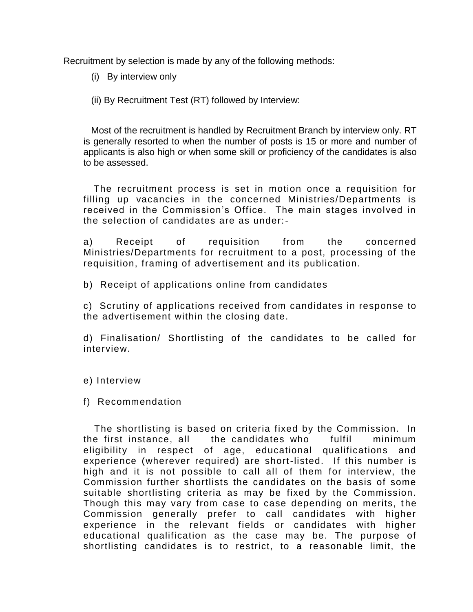Recruitment by selection is made by any of the following methods:

(i) By interview only

(ii) By Recruitment Test (RT) followed by Interview:

 Most of the recruitment is handled by Recruitment Branch by interview only. RT is generally resorted to when the number of posts is 15 or more and number of applicants is also high or when some skill or proficiency of the candidates is also to be assessed.

 The recruitment process is set in motion once a requisition for filling up vacancies in the concerned Ministries/Departments is received in the Commission's Office. The main stages involved in the selection of candidates are as under:-

a) Receipt of requisition from the concerned Ministries/Departments for recruitment to a post, processing of the requisition, framing of advertisement and its publication.

b) Receipt of applications online from candidates

c) Scrutiny of applications received from candidates in response to the advertisement within the closing date.

d) Finalisation/ Shortlisting of the candidates to be called for interview.

e) Interview

f) Recommendation

 The shortlisting is based on criteria fixed by the Commission. In the first instance, all the candidates who fulfil minimum eligibility in respect of age, educational qualifications and experience (wherever required) are short-listed. If this number is high and it is not possible to call all of them for interview, the Commission further shortlists the candidates on the basis of some suitable shortlisting criteria as may be fixed by the Commission. Though this may vary from case to case depending on merits, the Commission generally prefer to call candidates with higher experience in the relevant fields or candidates with higher educational qualification as the case may be. The purpose of shortlisting candidates is to restrict, to a reasonable limit, the